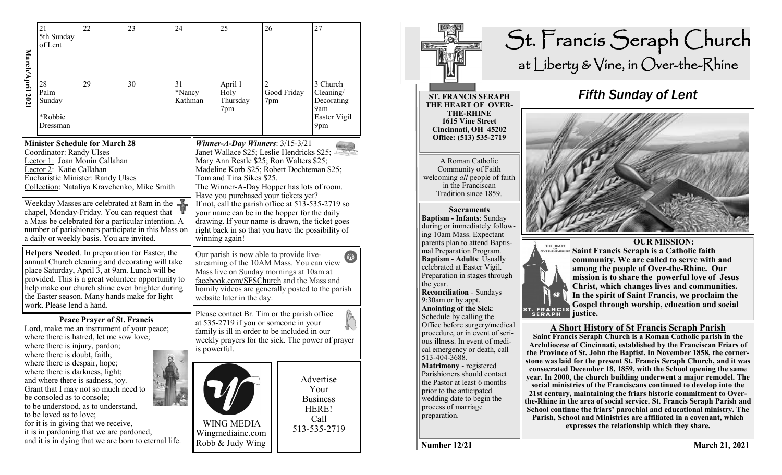|                                                    | 21<br>5th Sunday<br>of Lent                                                                                                                                                                                                                                                                                                                                                              | 22 | 23 | 24                                                |                                                           | 25                                 | 26                    |                                                                       | 27                                                                   |
|----------------------------------------------------|------------------------------------------------------------------------------------------------------------------------------------------------------------------------------------------------------------------------------------------------------------------------------------------------------------------------------------------------------------------------------------------|----|----|---------------------------------------------------|-----------------------------------------------------------|------------------------------------|-----------------------|-----------------------------------------------------------------------|----------------------------------------------------------------------|
| March/April 202                                    | 28<br>Palm<br>Sunday<br>*Robbie<br>Dressman                                                                                                                                                                                                                                                                                                                                              | 29 | 30 | 31<br>*Nancy<br>Kathman                           |                                                           | April 1<br>Holy<br>Thursday<br>7pm | $\overline{2}$<br>7pm | Good Friday                                                           | 3 Church<br>$C$ leaning/<br>Decorating<br>9am<br>Easter Vigil<br>9pm |
| <b>Minister Schedule for March 28</b>              |                                                                                                                                                                                                                                                                                                                                                                                          |    |    | Winner-A-Day Winners: $3/15-3/21$                 |                                                           |                                    |                       |                                                                       |                                                                      |
| Coordinator: Randy Ulses                           |                                                                                                                                                                                                                                                                                                                                                                                          |    |    | Janet Wallace \$25; Leslie Hendricks \$25;        |                                                           |                                    |                       |                                                                       |                                                                      |
| Lector 1: Joan Monin Callahan                      |                                                                                                                                                                                                                                                                                                                                                                                          |    |    | Mary Ann Restle \$25; Ron Walters \$25;           |                                                           |                                    |                       |                                                                       |                                                                      |
| Lector 2: Katie Callahan                           |                                                                                                                                                                                                                                                                                                                                                                                          |    |    | Madeline Korb \$25; Robert Dochteman \$25;        |                                                           |                                    |                       |                                                                       |                                                                      |
| <b>Eucharistic Minister: Randy Ulses</b>           |                                                                                                                                                                                                                                                                                                                                                                                          |    |    | Tom and Tina Sikes \$25.                          |                                                           |                                    |                       |                                                                       |                                                                      |
| Collection: Nataliya Kravchenko, Mike Smith        |                                                                                                                                                                                                                                                                                                                                                                                          |    |    | The Winner-A-Day Hopper has lots of room.         |                                                           |                                    |                       |                                                                       |                                                                      |
| Ťř                                                 |                                                                                                                                                                                                                                                                                                                                                                                          |    |    | Have you purchased your tickets yet?              |                                                           |                                    |                       |                                                                       |                                                                      |
| Weekday Masses are celebrated at 8am in the        |                                                                                                                                                                                                                                                                                                                                                                                          |    |    | If not, call the parish office at 513-535-2719 so |                                                           |                                    |                       |                                                                       |                                                                      |
| chapel, Monday-Friday. You can request that        |                                                                                                                                                                                                                                                                                                                                                                                          |    |    | your name can be in the hopper for the daily      |                                                           |                                    |                       |                                                                       |                                                                      |
| a Mass be celebrated for a particular intention. A |                                                                                                                                                                                                                                                                                                                                                                                          |    |    | drawing. If your name is drawn, the ticket goes   |                                                           |                                    |                       |                                                                       |                                                                      |
| number of parishioners participate in this Mass on |                                                                                                                                                                                                                                                                                                                                                                                          |    |    | right back in so that you have the possibility of |                                                           |                                    |                       |                                                                       |                                                                      |
| a daily or weekly basis. You are invited.          |                                                                                                                                                                                                                                                                                                                                                                                          |    |    | winning again!                                    |                                                           |                                    |                       |                                                                       |                                                                      |
| Helpers Needed. In preparation for Easter, the     |                                                                                                                                                                                                                                                                                                                                                                                          |    |    | Our parish is now able to provide live-           |                                                           |                                    |                       |                                                                       |                                                                      |
| annual Church cleaning and decorating will take    |                                                                                                                                                                                                                                                                                                                                                                                          |    |    | $\left[ \text{\O} \right]$                        |                                                           |                                    |                       |                                                                       |                                                                      |
| place Saturday, April 3, at 9am. Lunch will be     |                                                                                                                                                                                                                                                                                                                                                                                          |    |    | streaming of the 10AM Mass. You can view          |                                                           |                                    |                       |                                                                       |                                                                      |
| provided. This is a great volunteer opportunity to |                                                                                                                                                                                                                                                                                                                                                                                          |    |    | Mass live on Sunday mornings at 10am at           |                                                           |                                    |                       |                                                                       |                                                                      |
| help make our church shine even brighter during    |                                                                                                                                                                                                                                                                                                                                                                                          |    |    | facebook.com/SFSChurch and the Mass and           |                                                           |                                    |                       |                                                                       |                                                                      |
| the Easter season. Many hands make for light       |                                                                                                                                                                                                                                                                                                                                                                                          |    |    | homily videos are generally posted to the parish  |                                                           |                                    |                       |                                                                       |                                                                      |
| work. Please lend a hand.                          |                                                                                                                                                                                                                                                                                                                                                                                          |    |    | website later in the day.                         |                                                           |                                    |                       |                                                                       |                                                                      |
| <b>Peace Prayer of St. Francis</b>                 |                                                                                                                                                                                                                                                                                                                                                                                          |    |    | Please contact Br. Tim or the parish office       |                                                           |                                    |                       |                                                                       |                                                                      |
| Lord, make me an instrument of your peace;         |                                                                                                                                                                                                                                                                                                                                                                                          |    |    | at 535-2719 if you or someone in your             |                                                           |                                    |                       |                                                                       |                                                                      |
| where there is hatred, let me sow love;            |                                                                                                                                                                                                                                                                                                                                                                                          |    |    | family is ill in order to be included in our      |                                                           |                                    |                       |                                                                       |                                                                      |
| where there is injury, pardon;                     |                                                                                                                                                                                                                                                                                                                                                                                          |    |    | weekly prayers for the sick. The power of prayer  |                                                           |                                    |                       |                                                                       |                                                                      |
| where there is doubt, faith;                       |                                                                                                                                                                                                                                                                                                                                                                                          |    |    | is powerful.                                      |                                                           |                                    |                       |                                                                       |                                                                      |
|                                                    | where there is despair, hope;<br>where there is darkness, light;<br>and where there is sadness, joy.<br>Grant that I may not so much need to<br>be consoled as to console;<br>to be understood, as to understand,<br>to be loved as to love;<br>for it is in giving that we receive,<br>it is in pardoning that we are pardoned,<br>and it is in dying that we are born to eternal life. |    |    |                                                   | <b>WING MEDIA</b><br>Wingmediainc.com<br>Robb & Judy Wing |                                    |                       | Advertise<br>Your<br><b>Business</b><br>HERE!<br>Call<br>513-535-2719 |                                                                      |